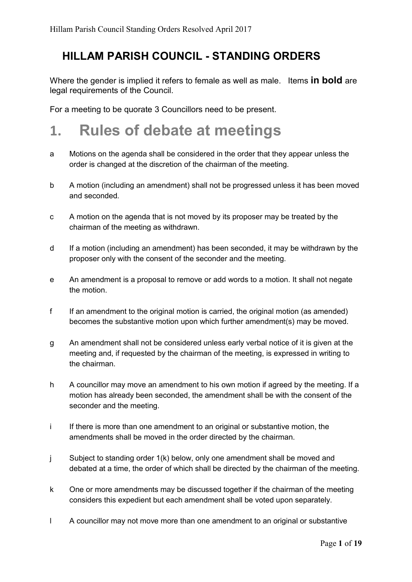#### HILLAM PARISH COUNCIL - STANDING ORDERS

Where the gender is implied it refers to female as well as male. Items **in bold** are legal requirements of the Council.

For a meeting to be quorate 3 Councillors need to be present.

#### 1. Rules of debate at meetings

- a Motions on the agenda shall be considered in the order that they appear unless the order is changed at the discretion of the chairman of the meeting.
- b A motion (including an amendment) shall not be progressed unless it has been moved and seconded.
- c A motion on the agenda that is not moved by its proposer may be treated by the chairman of the meeting as withdrawn.
- d If a motion (including an amendment) has been seconded, it may be withdrawn by the proposer only with the consent of the seconder and the meeting.
- e An amendment is a proposal to remove or add words to a motion. It shall not negate the motion.
- f If an amendment to the original motion is carried, the original motion (as amended) becomes the substantive motion upon which further amendment(s) may be moved.
- g An amendment shall not be considered unless early verbal notice of it is given at the meeting and, if requested by the chairman of the meeting, is expressed in writing to the chairman.
- h A councillor may move an amendment to his own motion if agreed by the meeting. If a motion has already been seconded, the amendment shall be with the consent of the seconder and the meeting.
- i If there is more than one amendment to an original or substantive motion, the amendments shall be moved in the order directed by the chairman.
- j Subject to standing order 1(k) below, only one amendment shall be moved and debated at a time, the order of which shall be directed by the chairman of the meeting.
- k One or more amendments may be discussed together if the chairman of the meeting considers this expedient but each amendment shall be voted upon separately.
- l A councillor may not move more than one amendment to an original or substantive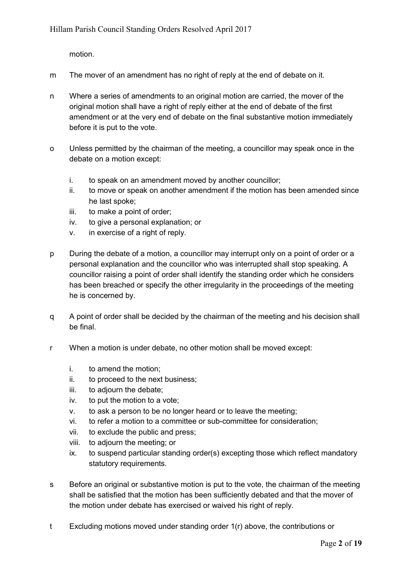motion.

- m The mover of an amendment has no right of reply at the end of debate on it.
- n Where a series of amendments to an original motion are carried, the mover of the original motion shall have a right of reply either at the end of debate of the first amendment or at the very end of debate on the final substantive motion immediately before it is put to the vote.
- o Unless permitted by the chairman of the meeting, a councillor may speak once in the debate on a motion except:
	- i. to speak on an amendment moved by another councillor;
	- ii. to move or speak on another amendment if the motion has been amended since he last spoke;
	- iii. to make a point of order;
	- iv. to give a personal explanation; or
	- v. in exercise of a right of reply.
- p During the debate of a motion, a councillor may interrupt only on a point of order or a personal explanation and the councillor who was interrupted shall stop speaking. A councillor raising a point of order shall identify the standing order which he considers has been breached or specify the other irregularity in the proceedings of the meeting he is concerned by.
- q A point of order shall be decided by the chairman of the meeting and his decision shall be final.
- r When a motion is under debate, no other motion shall be moved except:
	- i. to amend the motion;
	- ii. to proceed to the next business;
	- iii. to adjourn the debate;
	- iv. to put the motion to a vote;
	- v. to ask a person to be no longer heard or to leave the meeting;
	- vi. to refer a motion to a committee or sub-committee for consideration;
	- vii. to exclude the public and press;
	- viii. to adjourn the meeting; or
	- ix. to suspend particular standing order(s) excepting those which reflect mandatory statutory requirements.
- s Before an original or substantive motion is put to the vote, the chairman of the meeting shall be satisfied that the motion has been sufficiently debated and that the mover of the motion under debate has exercised or waived his right of reply.
- t Excluding motions moved under standing order 1(r) above, the contributions or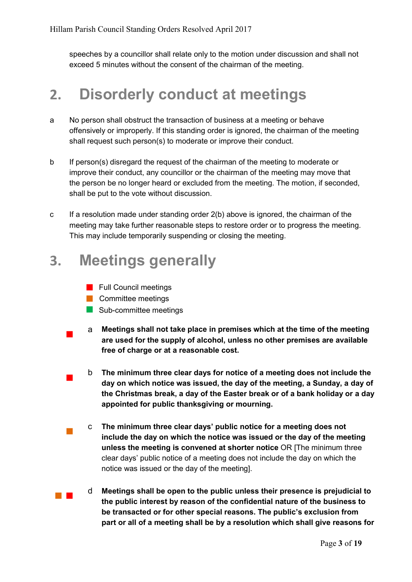speeches by a councillor shall relate only to the motion under discussion and shall not exceed 5 minutes without the consent of the chairman of the meeting.

#### 2. Disorderly conduct at meetings

- a No person shall obstruct the transaction of business at a meeting or behave offensively or improperly. If this standing order is ignored, the chairman of the meeting shall request such person(s) to moderate or improve their conduct.
- b If person(s) disregard the request of the chairman of the meeting to moderate or improve their conduct, any councillor or the chairman of the meeting may move that the person be no longer heard or excluded from the meeting. The motion, if seconded, shall be put to the vote without discussion.
- c If a resolution made under standing order 2(b) above is ignored, the chairman of the meeting may take further reasonable steps to restore order or to progress the meeting. This may include temporarily suspending or closing the meeting.

#### 3. Meetings generally

- **Full Council meetings**
- **Committee meetings**
- Sub-committee meetings
- <sup>a</sup> Meetings shall not take place in premises which at the time of the meeting are used for the supply of alcohol, unless no other premises are available free of charge or at a reasonable cost.
- <sup>b</sup> The minimum three clear days for notice of a meeting does not include the day on which notice was issued, the day of the meeting, a Sunday, a day of the Christmas break, a day of the Easter break or of a bank holiday or a day appointed for public thanksgiving or mourning.
- <sup>c</sup> The minimum three clear days' public notice for a meeting does not include the day on which the notice was issued or the day of the meeting unless the meeting is convened at shorter notice OR [The minimum three clear days' public notice of a meeting does not include the day on which the notice was issued or the day of the meeting].
- <sup>d</sup> Meetings shall be open to the public unless their presence is prejudicial to the public interest by reason of the confidential nature of the business to be transacted or for other special reasons. The public's exclusion from part or all of a meeting shall be by a resolution which shall give reasons for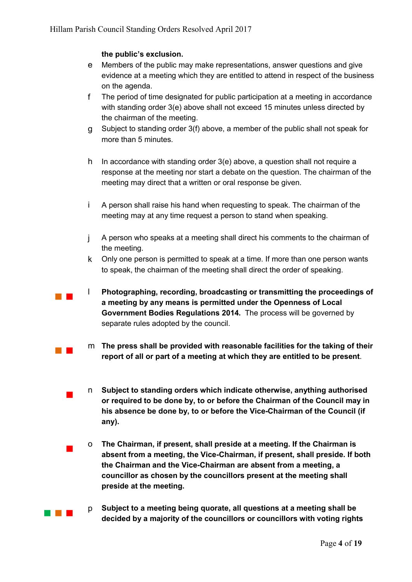#### the public's exclusion.

- e Members of the public may make representations, answer questions and give evidence at a meeting which they are entitled to attend in respect of the business on the agenda.
- f The period of time designated for public participation at a meeting in accordance with standing order 3(e) above shall not exceed 15 minutes unless directed by the chairman of the meeting.
- g Subject to standing order 3(f) above, a member of the public shall not speak for more than 5 minutes.
- h In accordance with standing order 3(e) above, a question shall not require a response at the meeting nor start a debate on the question. The chairman of the meeting may direct that a written or oral response be given.
- i A person shall raise his hand when requesting to speak. The chairman of the meeting may at any time request a person to stand when speaking.
- j A person who speaks at a meeting shall direct his comments to the chairman of the meeting.
- k Only one person is permitted to speak at a time. If more than one person wants to speak, the chairman of the meeting shall direct the order of speaking.
- <sup>l</sup> Photographing, recording, broadcasting or transmitting the proceedings of a meeting by any means is permitted under the Openness of Local Government Bodies Regulations 2014. The process will be governed by separate rules adopted by the council.
- m The press shall be provided with reasonable facilities for the taking of their report of all or part of a meeting at which they are entitled to be present.
	- <sup>n</sup> Subject to standing orders which indicate otherwise, anything authorised or required to be done by, to or before the Chairman of the Council may in his absence be done by, to or before the Vice-Chairman of the Council (if any).
	- <sup>o</sup> The Chairman, if present, shall preside at a meeting. If the Chairman is absent from a meeting, the Vice-Chairman, if present, shall preside. If both the Chairman and the Vice-Chairman are absent from a meeting, a councillor as chosen by the councillors present at the meeting shall preside at the meeting.
- **p** Subject to a meeting being quorate, all questions at a meeting shall be decided by a majority of the councillors or councillors with voting rights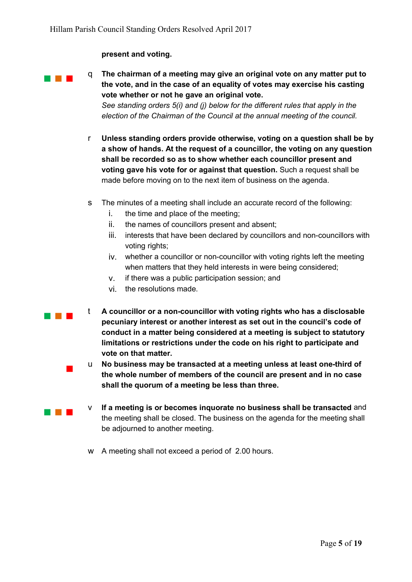#### present and voting.

**q** The chairman of a meeting may give an original vote on any matter put to the vote, and in the case of an equality of votes may exercise his casting vote whether or not he gave an original vote. *See standing orders 5(i) and (j) below for the different rules that apply in the election of the Chairman of the Council at the annual meeting of the council.*

- r Unless standing orders provide otherwise, voting on a question shall be by a show of hands. At the request of a councillor, the voting on any question shall be recorded so as to show whether each councillor present and voting gave his vote for or against that question. Such a request shall be made before moving on to the next item of business on the agenda.
- s The minutes of a meeting shall include an accurate record of the following:
	- i. the time and place of the meeting;
	- ii. the names of councillors present and absent;
	- iii. interests that have been declared by councillors and non-councillors with voting rights;
	- iv. whether a councillor or non-councillor with voting rights left the meeting when matters that they held interests in were being considered;
	- v. if there was a public participation session; and
	- vi. the resolutions made.
- $\begin{array}{ll} \blacksquare \hspace{14pt} \blacksquare \hspace{14pt} \blacksquare \hspace{14pt} \blacksquare \hspace{14pt} \blacksquare \end{array}$  A councillor or a non-councillor with voting rights who has a disclosable pecuniary interest or another interest as set out in the council's code of conduct in a matter being considered at a meeting is subject to statutory limitations or restrictions under the code on his right to participate and vote on that matter.
	- <sup>u</sup> No business may be transacted at a meeting unless at least one-third of the whole number of members of the council are present and in no case shall the quorum of a meeting be less than three.
- **v** If a meeting is or becomes inquorate no business shall be transacted and the meeting shall be closed. The business on the agenda for the meeting shall be adjourned to another meeting.
	- w A meeting shall not exceed a period of 2.00 hours.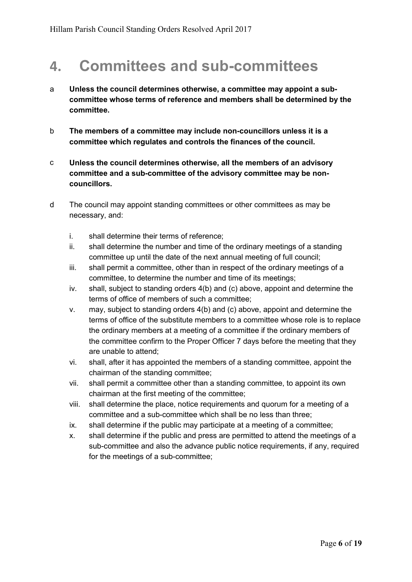#### 4. Committees and sub-committees

- a Unless the council determines otherwise, a committee may appoint a subcommittee whose terms of reference and members shall be determined by the committee.
- b The members of a committee may include non-councillors unless it is a committee which regulates and controls the finances of the council.
- c Unless the council determines otherwise, all the members of an advisory committee and a sub-committee of the advisory committee may be noncouncillors.
- d The council may appoint standing committees or other committees as may be necessary, and:
	- i. shall determine their terms of reference;
	- ii. shall determine the number and time of the ordinary meetings of a standing committee up until the date of the next annual meeting of full council;
	- iii. shall permit a committee, other than in respect of the ordinary meetings of a committee, to determine the number and time of its meetings;
	- iv. shall, subject to standing orders 4(b) and (c) above, appoint and determine the terms of office of members of such a committee;
	- v. may, subject to standing orders 4(b) and (c) above, appoint and determine the terms of office of the substitute members to a committee whose role is to replace the ordinary members at a meeting of a committee if the ordinary members of the committee confirm to the Proper Officer 7 days before the meeting that they are unable to attend;
	- vi. shall, after it has appointed the members of a standing committee, appoint the chairman of the standing committee;
	- vii. shall permit a committee other than a standing committee, to appoint its own chairman at the first meeting of the committee;
	- viii. shall determine the place, notice requirements and quorum for a meeting of a committee and a sub-committee which shall be no less than three;
	- ix. shall determine if the public may participate at a meeting of a committee;
	- x. shall determine if the public and press are permitted to attend the meetings of a sub-committee and also the advance public notice requirements, if any, required for the meetings of a sub-committee;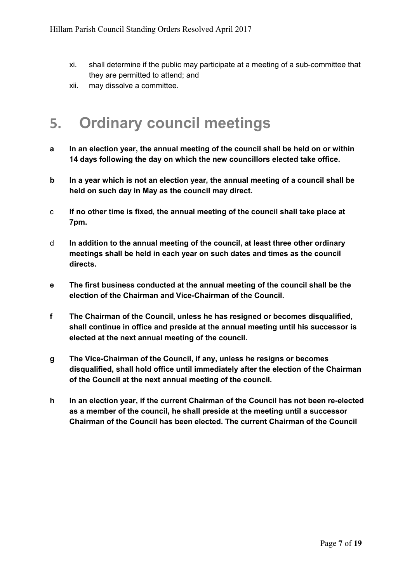- xi. shall determine if the public may participate at a meeting of a sub-committee that they are permitted to attend; and
- xii. may dissolve a committee.

#### 5. Ordinary council meetings

- a In an election year, the annual meeting of the council shall be held on or within 14 days following the day on which the new councillors elected take office.
- b In a year which is not an election year, the annual meeting of a council shall be held on such day in May as the council may direct.
- c If no other time is fixed, the annual meeting of the council shall take place at 7pm.
- d In addition to the annual meeting of the council, at least three other ordinary meetings shall be held in each year on such dates and times as the council directs.
- e The first business conducted at the annual meeting of the council shall be the election of the Chairman and Vice-Chairman of the Council.
- f The Chairman of the Council, unless he has resigned or becomes disqualified, shall continue in office and preside at the annual meeting until his successor is elected at the next annual meeting of the council.
- g The Vice-Chairman of the Council, if any, unless he resigns or becomes disqualified, shall hold office until immediately after the election of the Chairman of the Council at the next annual meeting of the council.
- h In an election year, if the current Chairman of the Council has not been re-elected as a member of the council, he shall preside at the meeting until a successor Chairman of the Council has been elected. The current Chairman of the Council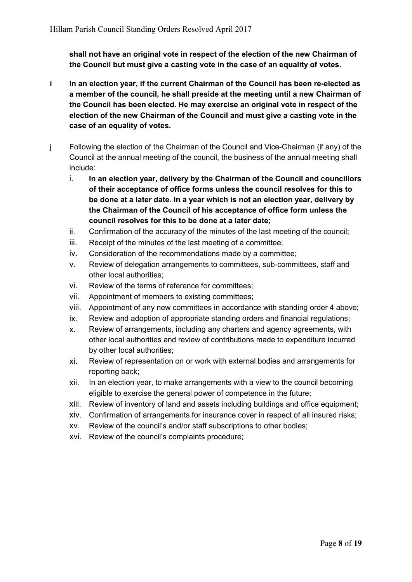shall not have an original vote in respect of the election of the new Chairman of the Council but must give a casting vote in the case of an equality of votes.

- i In an election year, if the current Chairman of the Council has been re-elected as a member of the council, he shall preside at the meeting until a new Chairman of the Council has been elected. He may exercise an original vote in respect of the election of the new Chairman of the Council and must give a casting vote in the case of an equality of votes.
- j Following the election of the Chairman of the Council and Vice-Chairman (if any) of the Council at the annual meeting of the council, the business of the annual meeting shall include:
	- i. In an election year, delivery by the Chairman of the Council and councillors of their acceptance of office forms unless the council resolves for this to be done at a later date. In a year which is not an election year, delivery by the Chairman of the Council of his acceptance of office form unless the council resolves for this to be done at a later date;
	- ii. Confirmation of the accuracy of the minutes of the last meeting of the council;
	- iii. Receipt of the minutes of the last meeting of a committee;
	- iv. Consideration of the recommendations made by a committee;
	- v. Review of delegation arrangements to committees, sub-committees, staff and other local authorities;
	- vi. Review of the terms of reference for committees;
	- vii. Appointment of members to existing committees;
	- viii. Appointment of any new committees in accordance with standing order 4 above;
	- ix. Review and adoption of appropriate standing orders and financial regulations;
	- x. Review of arrangements, including any charters and agency agreements, with other local authorities and review of contributions made to expenditure incurred by other local authorities;
	- xi. Review of representation on or work with external bodies and arrangements for reporting back;
	- xii. In an election year, to make arrangements with a view to the council becoming eligible to exercise the general power of competence in the future;
	- xiii. Review of inventory of land and assets including buildings and office equipment;
	- xiv. Confirmation of arrangements for insurance cover in respect of all insured risks;
	- xv. Review of the council's and/or staff subscriptions to other bodies;
	- xvi. Review of the council's complaints procedure;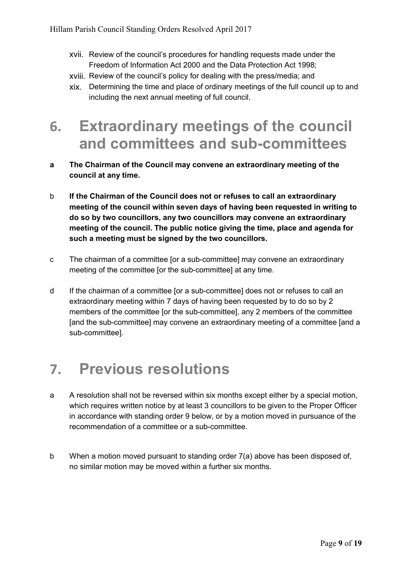- xvii. Review of the council's procedures for handling requests made under the Freedom of Information Act 2000 and the Data Protection Act 1998;
- xviii. Review of the council's policy for dealing with the press/media; and
- xix. Determining the time and place of ordinary meetings of the full council up to and including the next annual meeting of full council.
- 6. Extraordinary meetings of the council and committees and sub-committees
- a The Chairman of the Council may convene an extraordinary meeting of the council at any time.
- b If the Chairman of the Council does not or refuses to call an extraordinary meeting of the council within seven days of having been requested in writing to do so by two councillors, any two councillors may convene an extraordinary meeting of the council. The public notice giving the time, place and agenda for such a meeting must be signed by the two councillors.
- c The chairman of a committee [or a sub-committee] may convene an extraordinary meeting of the committee [or the sub-committee] at any time.
- d If the chairman of a committee [or a sub-committee] does not or refuses to call an extraordinary meeting within 7 days of having been requested by to do so by 2 members of the committee [or the sub-committee], any 2 members of the committee [and the sub-committee] may convene an extraordinary meeting of a committee [and a sub-committee].

#### 7. Previous resolutions

- a A resolution shall not be reversed within six months except either by a special motion, which requires written notice by at least 3 councillors to be given to the Proper Officer in accordance with standing order 9 below, or by a motion moved in pursuance of the recommendation of a committee or a sub-committee.
- b When a motion moved pursuant to standing order 7(a) above has been disposed of, no similar motion may be moved within a further six months.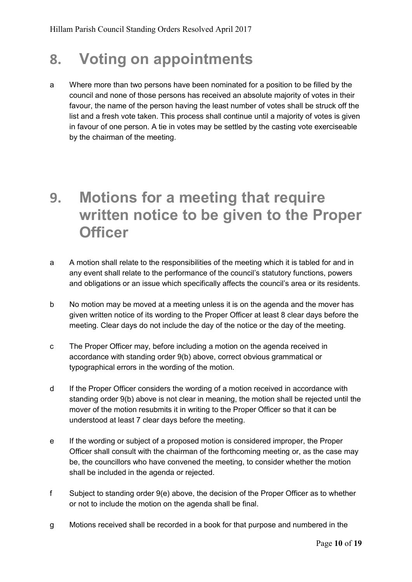#### 8. Voting on appointments

a Where more than two persons have been nominated for a position to be filled by the council and none of those persons has received an absolute majority of votes in their favour, the name of the person having the least number of votes shall be struck off the list and a fresh vote taken. This process shall continue until a majority of votes is given in favour of one person. A tie in votes may be settled by the casting vote exerciseable by the chairman of the meeting.

#### 9. Motions for a meeting that require written notice to be given to the Proper **Officer**

- a A motion shall relate to the responsibilities of the meeting which it is tabled for and in any event shall relate to the performance of the council's statutory functions, powers and obligations or an issue which specifically affects the council's area or its residents.
- b No motion may be moved at a meeting unless it is on the agenda and the mover has given written notice of its wording to the Proper Officer at least 8 clear days before the meeting. Clear days do not include the day of the notice or the day of the meeting.
- c The Proper Officer may, before including a motion on the agenda received in accordance with standing order 9(b) above, correct obvious grammatical or typographical errors in the wording of the motion.
- d If the Proper Officer considers the wording of a motion received in accordance with standing order 9(b) above is not clear in meaning, the motion shall be rejected until the mover of the motion resubmits it in writing to the Proper Officer so that it can be understood at least 7 clear days before the meeting.
- e If the wording or subject of a proposed motion is considered improper, the Proper Officer shall consult with the chairman of the forthcoming meeting or, as the case may be, the councillors who have convened the meeting, to consider whether the motion shall be included in the agenda or rejected.
- f Subject to standing order 9(e) above, the decision of the Proper Officer as to whether or not to include the motion on the agenda shall be final.
- g Motions received shall be recorded in a book for that purpose and numbered in the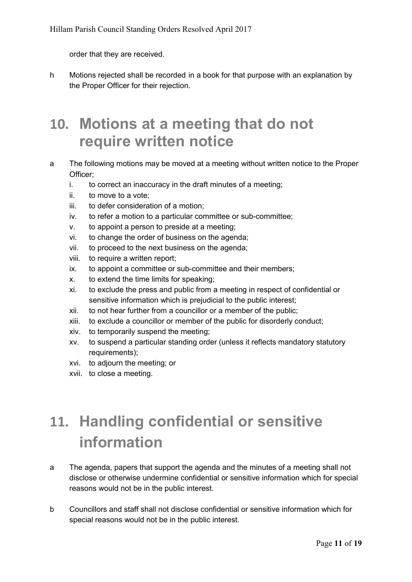order that they are received.

h Motions rejected shall be recorded in a book for that purpose with an explanation by the Proper Officer for their rejection.

#### 10. Motions at a meeting that do not require written notice

- a The following motions may be moved at a meeting without written notice to the Proper Officer;
	- i. to correct an inaccuracy in the draft minutes of a meeting;
	- ii. to move to a vote;
	- iii. to defer consideration of a motion;
	- iv. to refer a motion to a particular committee or sub-committee;
	- v. to appoint a person to preside at a meeting;
	- vi. to change the order of business on the agenda;
	- vii. to proceed to the next business on the agenda;
	- viii. to require a written report;
	- ix. to appoint a committee or sub-committee and their members;
	- x. to extend the time limits for speaking;
	- xi. to exclude the press and public from a meeting in respect of confidential or sensitive information which is prejudicial to the public interest;
	- xii. to not hear further from a councillor or a member of the public;
	- xiii. to exclude a councillor or member of the public for disorderly conduct;
	- xiv. to temporarily suspend the meeting;
	- xv. to suspend a particular standing order (unless it reflects mandatory statutory requirements);
	- xvi. to adjourn the meeting; or
	- xvii. to close a meeting.

# 11. Handling confidential or sensitive information

- a The agenda, papers that support the agenda and the minutes of a meeting shall not disclose or otherwise undermine confidential or sensitive information which for special reasons would not be in the public interest.
- b Councillors and staff shall not disclose confidential or sensitive information which for special reasons would not be in the public interest.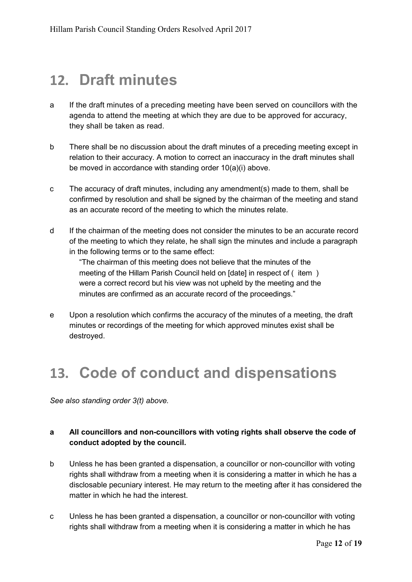#### 12. Draft minutes

- a If the draft minutes of a preceding meeting have been served on councillors with the agenda to attend the meeting at which they are due to be approved for accuracy, they shall be taken as read.
- b There shall be no discussion about the draft minutes of a preceding meeting except in relation to their accuracy. A motion to correct an inaccuracy in the draft minutes shall be moved in accordance with standing order 10(a)(i) above.
- c The accuracy of draft minutes, including any amendment(s) made to them, shall be confirmed by resolution and shall be signed by the chairman of the meeting and stand as an accurate record of the meeting to which the minutes relate.
- d If the chairman of the meeting does not consider the minutes to be an accurate record of the meeting to which they relate, he shall sign the minutes and include a paragraph in the following terms or to the same effect:

"The chairman of this meeting does not believe that the minutes of the meeting of the Hillam Parish Council held on [date] in respect of ( item ) were a correct record but his view was not upheld by the meeting and the minutes are confirmed as an accurate record of the proceedings."

e Upon a resolution which confirms the accuracy of the minutes of a meeting, the draft minutes or recordings of the meeting for which approved minutes exist shall be destroyed.

#### 13. Code of conduct and dispensations

*See also standing order 3(t) above.* 

#### a All councillors and non-councillors with voting rights shall observe the code of conduct adopted by the council.

- b Unless he has been granted a dispensation, a councillor or non-councillor with voting rights shall withdraw from a meeting when it is considering a matter in which he has a disclosable pecuniary interest. He may return to the meeting after it has considered the matter in which he had the interest.
- c Unless he has been granted a dispensation, a councillor or non-councillor with voting rights shall withdraw from a meeting when it is considering a matter in which he has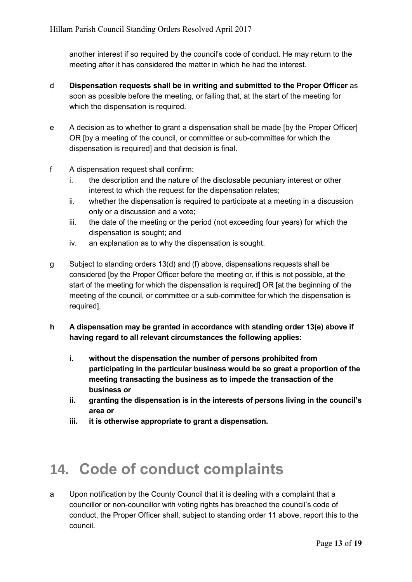another interest if so required by the council's code of conduct. He may return to the meeting after it has considered the matter in which he had the interest.

- d Dispensation requests shall be in writing and submitted to the Proper Officer as soon as possible before the meeting, or failing that, at the start of the meeting for which the dispensation is required.
- e A decision as to whether to grant a dispensation shall be made [by the Proper Officer] OR [by a meeting of the council, or committee or sub-committee for which the dispensation is required] and that decision is final.
- f A dispensation request shall confirm:
	- i. the description and the nature of the disclosable pecuniary interest or other interest to which the request for the dispensation relates;
	- ii. whether the dispensation is required to participate at a meeting in a discussion only or a discussion and a vote;
	- iii. the date of the meeting or the period (not exceeding four years) for which the dispensation is sought; and
	- iv. an explanation as to why the dispensation is sought.
- g Subject to standing orders 13(d) and (f) above, dispensations requests shall be considered [by the Proper Officer before the meeting or, if this is not possible, at the start of the meeting for which the dispensation is required] OR [at the beginning of the meeting of the council, or committee or a sub-committee for which the dispensation is required].
- h A dispensation may be granted in accordance with standing order 13(e) above if having regard to all relevant circumstances the following applies:
	- i. without the dispensation the number of persons prohibited from participating in the particular business would be so great a proportion of the meeting transacting the business as to impede the transaction of the business or
	- ii. granting the dispensation is in the interests of persons living in the council's area or
	- iii. it is otherwise appropriate to grant a dispensation.

## 14. Code of conduct complaints

a Upon notification by the County Council that it is dealing with a complaint that a councillor or non-councillor with voting rights has breached the council's code of conduct, the Proper Officer shall, subject to standing order 11 above, report this to the council.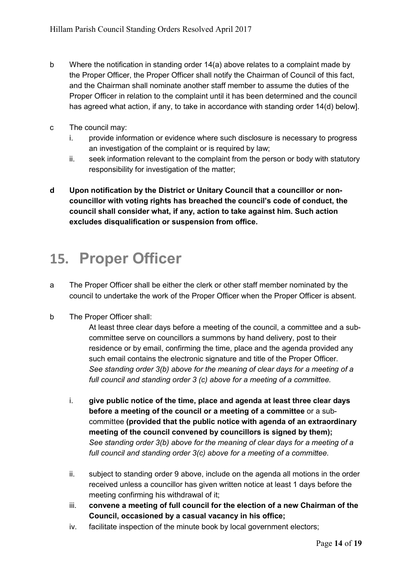- b Where the notification in standing order 14(a) above relates to a complaint made by the Proper Officer, the Proper Officer shall notify the Chairman of Council of this fact, and the Chairman shall nominate another staff member to assume the duties of the Proper Officer in relation to the complaint until it has been determined and the council has agreed what action, if any, to take in accordance with standing order 14(d) below].
- c The council may:
	- i. provide information or evidence where such disclosure is necessary to progress an investigation of the complaint or is required by law;
	- ii. seek information relevant to the complaint from the person or body with statutory responsibility for investigation of the matter;
- d Upon notification by the District or Unitary Council that a councillor or noncouncillor with voting rights has breached the council's code of conduct, the council shall consider what, if any, action to take against him. Such action excludes disqualification or suspension from office.

## 15. Proper Officer

- a The Proper Officer shall be either the clerk or other staff member nominated by the council to undertake the work of the Proper Officer when the Proper Officer is absent.
- b The Proper Officer shall:

At least three clear days before a meeting of the council, a committee and a subcommittee serve on councillors a summons by hand delivery, post to their residence or by email, confirming the time, place and the agenda provided any such email contains the electronic signature and title of the Proper Officer. *See standing order 3(b) above for the meaning of clear days for a meeting of a full council and standing order 3 (c) above for a meeting of a committee.*

- i. give public notice of the time, place and agenda at least three clear days before a meeting of the council or a meeting of a committee or a subcommittee (provided that the public notice with agenda of an extraordinary meeting of the council convened by councillors is signed by them); *See standing order 3(b) above for the meaning of clear days for a meeting of a full council and standing order 3(c) above for a meeting of a committee.*
- ii. subject to standing order 9 above, include on the agenda all motions in the order received unless a councillor has given written notice at least 1 days before the meeting confirming his withdrawal of it;
- iii. convene a meeting of full council for the election of a new Chairman of the Council, occasioned by a casual vacancy in his office;
- iv. facilitate inspection of the minute book by local government electors;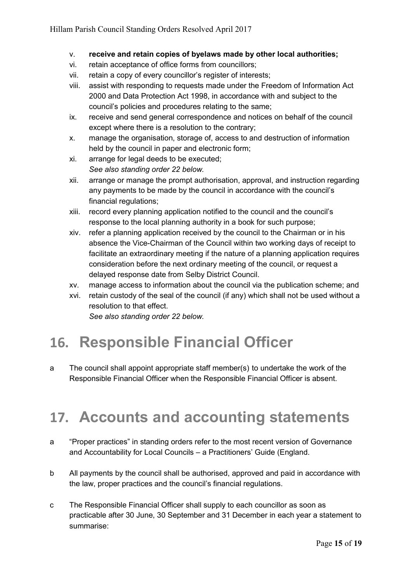- v. receive and retain copies of byelaws made by other local authorities;
- vi. retain acceptance of office forms from councillors;
- vii. retain a copy of every councillor's register of interests;
- viii. assist with responding to requests made under the Freedom of Information Act 2000 and Data Protection Act 1998, in accordance with and subject to the council's policies and procedures relating to the same;
- ix. receive and send general correspondence and notices on behalf of the council except where there is a resolution to the contrary;
- x. manage the organisation, storage of, access to and destruction of information held by the council in paper and electronic form;
- xi. arrange for legal deeds to be executed; *See also standing order 22 below.*
- xii. arrange or manage the prompt authorisation, approval, and instruction regarding any payments to be made by the council in accordance with the council's financial regulations;
- xiii. record every planning application notified to the council and the council's response to the local planning authority in a book for such purpose;
- xiv. refer a planning application received by the council to the Chairman or in his absence the Vice-Chairman of the Council within two working days of receipt to facilitate an extraordinary meeting if the nature of a planning application requires consideration before the next ordinary meeting of the council, or request a delayed response date from Selby District Council.
- xv. manage access to information about the council via the publication scheme; and
- xvi. retain custody of the seal of the council (if any) which shall not be used without a resolution to that effect. *See also standing order 22 below.*

#### 16. Responsible Financial Officer

a The council shall appoint appropriate staff member(s) to undertake the work of the Responsible Financial Officer when the Responsible Financial Officer is absent.

#### 17. Accounts and accounting statements

- a "Proper practices" in standing orders refer to the most recent version of Governance and Accountability for Local Councils – a Practitioners' Guide (England.
- b All payments by the council shall be authorised, approved and paid in accordance with the law, proper practices and the council's financial regulations.
- c The Responsible Financial Officer shall supply to each councillor as soon as practicable after 30 June, 30 September and 31 December in each year a statement to summarise: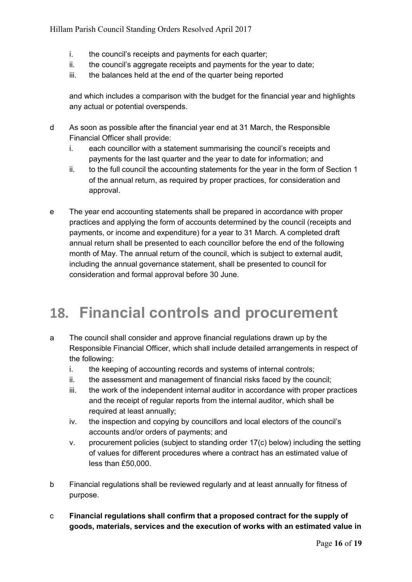- i. the council's receipts and payments for each quarter;
- ii. the council's aggregate receipts and payments for the year to date;
- iii. the balances held at the end of the quarter being reported

and which includes a comparison with the budget for the financial year and highlights any actual or potential overspends.

- d As soon as possible after the financial year end at 31 March, the Responsible Financial Officer shall provide:
	- i. each councillor with a statement summarising the council's receipts and payments for the last quarter and the year to date for information; and
	- ii. to the full council the accounting statements for the year in the form of Section 1 of the annual return, as required by proper practices, for consideration and approval.
- e The year end accounting statements shall be prepared in accordance with proper practices and applying the form of accounts determined by the council (receipts and payments, or income and expenditure) for a year to 31 March. A completed draft annual return shall be presented to each councillor before the end of the following month of May. The annual return of the council, which is subject to external audit, including the annual governance statement, shall be presented to council for consideration and formal approval before 30 June.

#### 18. Financial controls and procurement

- a The council shall consider and approve financial regulations drawn up by the Responsible Financial Officer, which shall include detailed arrangements in respect of the following:
	- i. the keeping of accounting records and systems of internal controls;
	- ii. the assessment and management of financial risks faced by the council;
	- iii. the work of the independent internal auditor in accordance with proper practices and the receipt of regular reports from the internal auditor, which shall be required at least annually;
	- iv. the inspection and copying by councillors and local electors of the council's accounts and/or orders of payments; and
	- v. procurement policies (subject to standing order 17(c) below) including the setting of values for different procedures where a contract has an estimated value of less than £50,000.
- b Financial regulations shall be reviewed regularly and at least annually for fitness of purpose.
- c Financial regulations shall confirm that a proposed contract for the supply of goods, materials, services and the execution of works with an estimated value in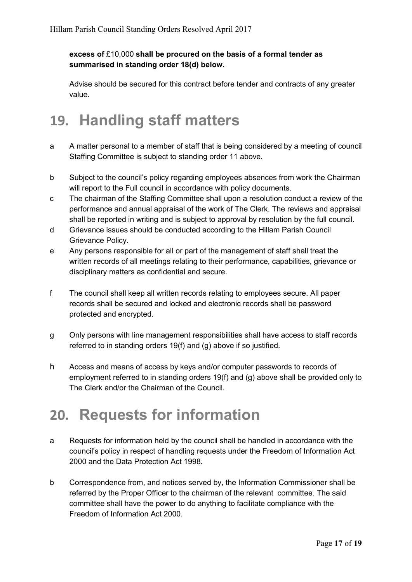#### excess of £10,000 shall be procured on the basis of a formal tender as summarised in standing order 18(d) below.

Advise should be secured for this contract before tender and contracts of any greater value.

## 19. Handling staff matters

- a A matter personal to a member of staff that is being considered by a meeting of council Staffing Committee is subject to standing order 11 above.
- b Subject to the council's policy regarding employees absences from work the Chairman will report to the Full council in accordance with policy documents.
- c The chairman of the Staffing Committee shall upon a resolution conduct a review of the performance and annual appraisal of the work of The Clerk. The reviews and appraisal shall be reported in writing and is subject to approval by resolution by the full council.
- d Grievance issues should be conducted according to the Hillam Parish Council Grievance Policy.
- e Any persons responsible for all or part of the management of staff shall treat the written records of all meetings relating to their performance, capabilities, grievance or disciplinary matters as confidential and secure.
- f The council shall keep all written records relating to employees secure. All paper records shall be secured and locked and electronic records shall be password protected and encrypted.
- g Only persons with line management responsibilities shall have access to staff records referred to in standing orders 19(f) and (g) above if so justified.
- h Access and means of access by keys and/or computer passwords to records of employment referred to in standing orders 19(f) and (g) above shall be provided only to The Clerk and/or the Chairman of the Council.

## 20. Requests for information

- a Requests for information held by the council shall be handled in accordance with the council's policy in respect of handling requests under the Freedom of Information Act 2000 and the Data Protection Act 1998.
- b Correspondence from, and notices served by, the Information Commissioner shall be referred by the Proper Officer to the chairman of the relevant committee. The said committee shall have the power to do anything to facilitate compliance with the Freedom of Information Act 2000.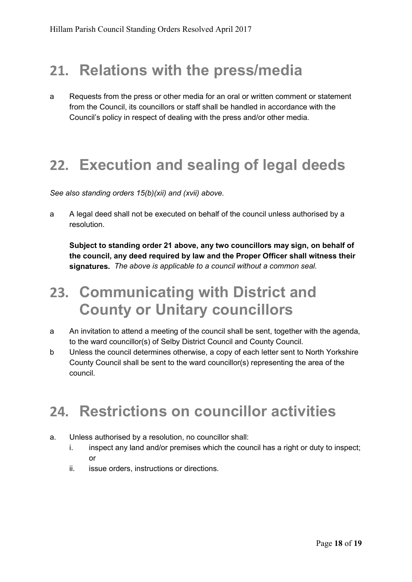#### 21. Relations with the press/media

a Requests from the press or other media for an oral or written comment or statement from the Council, its councillors or staff shall be handled in accordance with the Council's policy in respect of dealing with the press and/or other media.

#### 22. Execution and sealing of legal deeds

*See also standing orders 15(b)(xii) and (xvii) above.*

a A legal deed shall not be executed on behalf of the council unless authorised by a resolution.

Subject to standing order 21 above, any two councillors may sign, on behalf of the council, any deed required by law and the Proper Officer shall witness their signatures. *The above is applicable to a council without a common seal.*

#### 23. Communicating with District and County or Unitary councillors

- a An invitation to attend a meeting of the council shall be sent, together with the agenda, to the ward councillor(s) of Selby District Council and County Council.
- b Unless the council determines otherwise, a copy of each letter sent to North Yorkshire County Council shall be sent to the ward councillor(s) representing the area of the council.

#### 24. Restrictions on councillor activities

- a. Unless authorised by a resolution, no councillor shall:
	- i. inspect any land and/or premises which the council has a right or duty to inspect; or
	- ii. issue orders, instructions or directions.